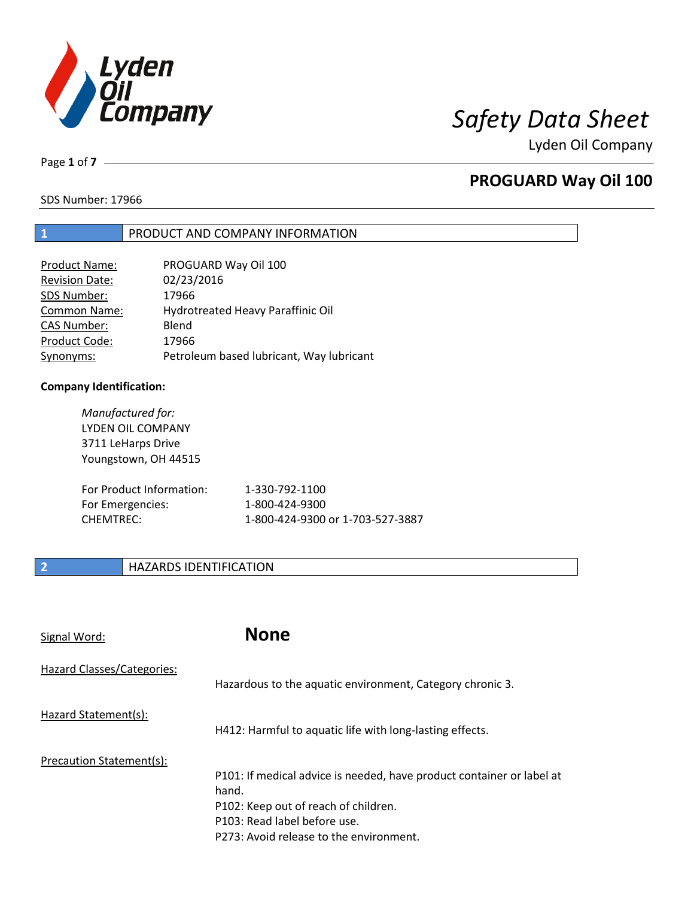

Page **1** of **7**

## **PROGUARD Way Oil 100**

SDS Number: 17966

## **1** PRODUCT AND COMPANY INFORMATION

| PROGUARD Way Oil 100                     |
|------------------------------------------|
| 02/23/2016                               |
| 17966                                    |
| Hydrotreated Heavy Paraffinic Oil        |
| Blend                                    |
| 17966                                    |
| Petroleum based lubricant, Way lubricant |
|                                          |

### **Company Identification:**

| Manufactured for:<br>LYDEN OIL COMPANY<br>3711 LeHarps Drive<br>Youngstown, OH 44515 |                                  |
|--------------------------------------------------------------------------------------|----------------------------------|
| For Product Information:                                                             | 1-330-792-1100                   |
| For Emergencies:                                                                     | 1-800-424-9300                   |
| CHEMTREC:                                                                            | 1-800-424-9300 or 1-703-527-3887 |

## **2 HAZARDS IDENTIFICATION**

| Signal Word:               | <b>None</b>                                                                                                                                                                                       |
|----------------------------|---------------------------------------------------------------------------------------------------------------------------------------------------------------------------------------------------|
| Hazard Classes/Categories: | Hazardous to the aquatic environment, Category chronic 3.                                                                                                                                         |
| Hazard Statement(s):       | H412: Harmful to aquatic life with long-lasting effects.                                                                                                                                          |
| Precaution Statement(s):   | P101: If medical advice is needed, have product container or label at<br>hand.<br>P102: Keep out of reach of children.<br>P103: Read label before use.<br>P273: Avoid release to the environment. |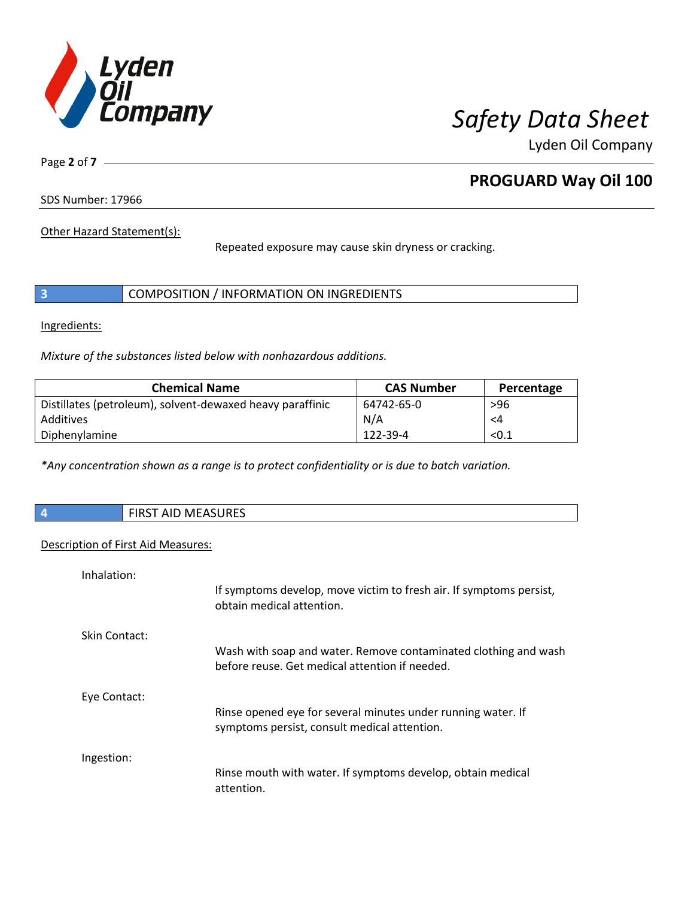

Page **2** of **7**

## **PROGUARD Way Oil 100**

SDS Number: 17966

Other Hazard Statement(s):

Repeated exposure may cause skin dryness or cracking.

|  | COMPOSITION / INFORMATION ON INGREDIENTS |  |
|--|------------------------------------------|--|
|--|------------------------------------------|--|

Ingredients:

*Mixture of the substances listed below with nonhazardous additions.*

| <b>Chemical Name</b>                                      | <b>CAS Number</b> | Percentage |
|-----------------------------------------------------------|-------------------|------------|
| Distillates (petroleum), solvent-dewaxed heavy paraffinic | 64742-65-0        | $>96$      |
| Additives                                                 | N/A               | <4         |
| Diphenylamine                                             | 122-39-4          | < 0.1      |

*\*Any concentration shown as a range is to protect confidentiality or is due to batch variation.*

| AID MEASURES<br><b>FIDCT</b><br>ו כחוד |
|----------------------------------------|
|                                        |

### Description of First Aid Measures:

| Inhalation:   |                                                                                                                   |
|---------------|-------------------------------------------------------------------------------------------------------------------|
|               | If symptoms develop, move victim to fresh air. If symptoms persist,<br>obtain medical attention.                  |
| Skin Contact: |                                                                                                                   |
|               | Wash with soap and water. Remove contaminated clothing and wash<br>before reuse. Get medical attention if needed. |
| Eye Contact:  |                                                                                                                   |
|               | Rinse opened eye for several minutes under running water. If<br>symptoms persist, consult medical attention.      |
| Ingestion:    |                                                                                                                   |
|               | Rinse mouth with water. If symptoms develop, obtain medical<br>attention.                                         |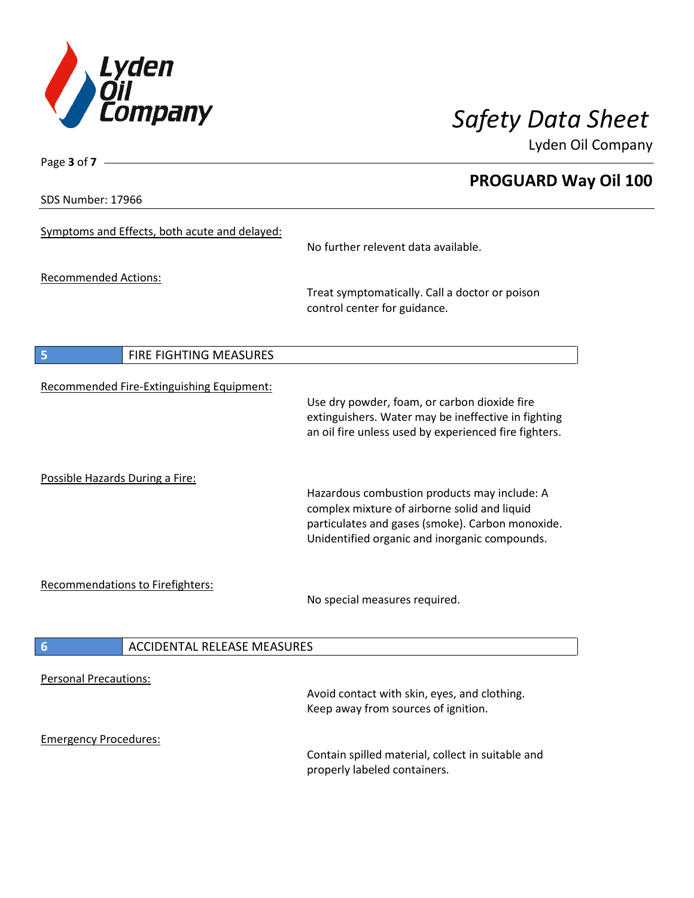

SDS Number: 17966

Page **3** of **7**

# **PROGUARD Way Oil 100**

| Symptoms and Effects, both acute and delayed:         | No further relevent data available.                                                                                                                                                               |  |
|-------------------------------------------------------|---------------------------------------------------------------------------------------------------------------------------------------------------------------------------------------------------|--|
| <b>Recommended Actions:</b>                           | Treat symptomatically. Call a doctor or poison<br>control center for guidance.                                                                                                                    |  |
| 5<br>FIRE FIGHTING MEASURES                           |                                                                                                                                                                                                   |  |
| Recommended Fire-Extinguishing Equipment:             | Use dry powder, foam, or carbon dioxide fire<br>extinguishers. Water may be ineffective in fighting<br>an oil fire unless used by experienced fire fighters.                                      |  |
| Possible Hazards During a Fire:                       | Hazardous combustion products may include: A<br>complex mixture of airborne solid and liquid<br>particulates and gases (smoke). Carbon monoxide.<br>Unidentified organic and inorganic compounds. |  |
| <b>Recommendations to Firefighters:</b>               | No special measures required.                                                                                                                                                                     |  |
| <b>ACCIDENTAL RELEASE MEASURES</b><br>$6\phantom{1}6$ |                                                                                                                                                                                                   |  |
| <b>Personal Precautions:</b>                          | Avoid contact with skin, eyes, and clothing.<br>Keep away from sources of ignition.                                                                                                               |  |
| <b>Emergency Procedures:</b>                          | Contain spilled material, collect in suitable and<br>properly labeled containers.                                                                                                                 |  |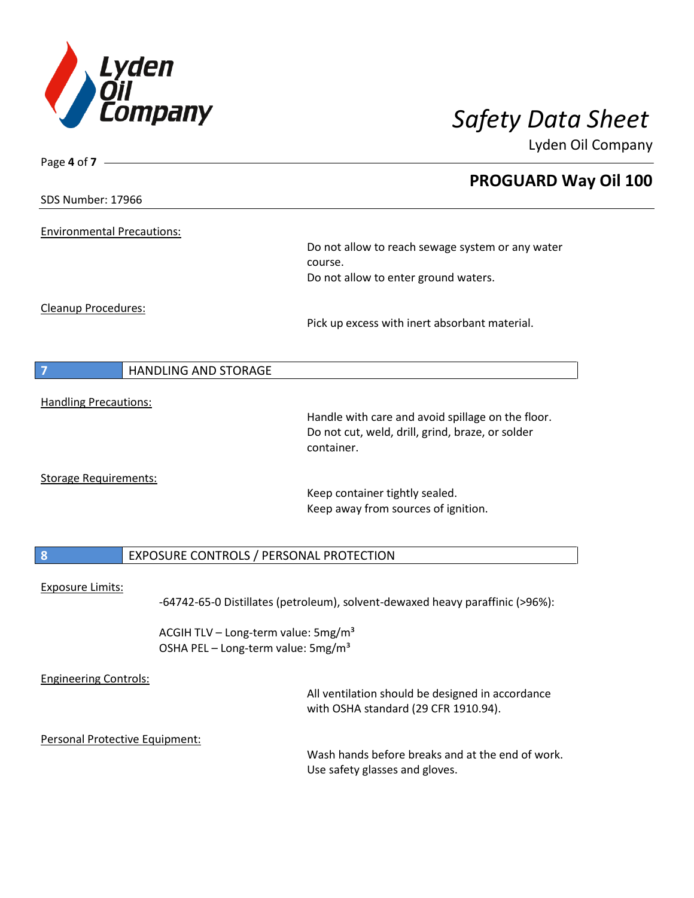

| Page 4 of 7 -                                |                                                                                                   |                                                                                                                     |
|----------------------------------------------|---------------------------------------------------------------------------------------------------|---------------------------------------------------------------------------------------------------------------------|
|                                              |                                                                                                   | <b>PROGUARD Way Oil 100</b>                                                                                         |
| SDS Number: 17966                            |                                                                                                   |                                                                                                                     |
| <b>Environmental Precautions:</b>            |                                                                                                   |                                                                                                                     |
|                                              |                                                                                                   | Do not allow to reach sewage system or any water<br>course.<br>Do not allow to enter ground waters.                 |
| <b>Cleanup Procedures:</b>                   |                                                                                                   |                                                                                                                     |
|                                              |                                                                                                   | Pick up excess with inert absorbant material.                                                                       |
| $\overline{7}$                               | <b>HANDLING AND STORAGE</b>                                                                       |                                                                                                                     |
| <b>Handling Precautions:</b>                 |                                                                                                   | Handle with care and avoid spillage on the floor.<br>Do not cut, weld, drill, grind, braze, or solder<br>container. |
| <b>Storage Requirements:</b>                 |                                                                                                   | Keep container tightly sealed.<br>Keep away from sources of ignition.                                               |
| 8<br>EXPOSURE CONTROLS / PERSONAL PROTECTION |                                                                                                   |                                                                                                                     |
| <b>Exposure Limits:</b>                      |                                                                                                   | -64742-65-0 Distillates (petroleum), solvent-dewaxed heavy paraffinic (>96%):                                       |
|                                              | ACGIH TLV - Long-term value: 5mg/m <sup>3</sup><br>OSHA PEL - Long-term value: 5mg/m <sup>3</sup> |                                                                                                                     |
| <b>Engineering Controls:</b>                 |                                                                                                   | All ventilation should be designed in accordance<br>with OSHA standard (29 CFR 1910.94).                            |
| Personal Protective Equipment:               |                                                                                                   | Wash hands before breaks and at the end of work.                                                                    |
|                                              |                                                                                                   | Use safety glasses and gloves.                                                                                      |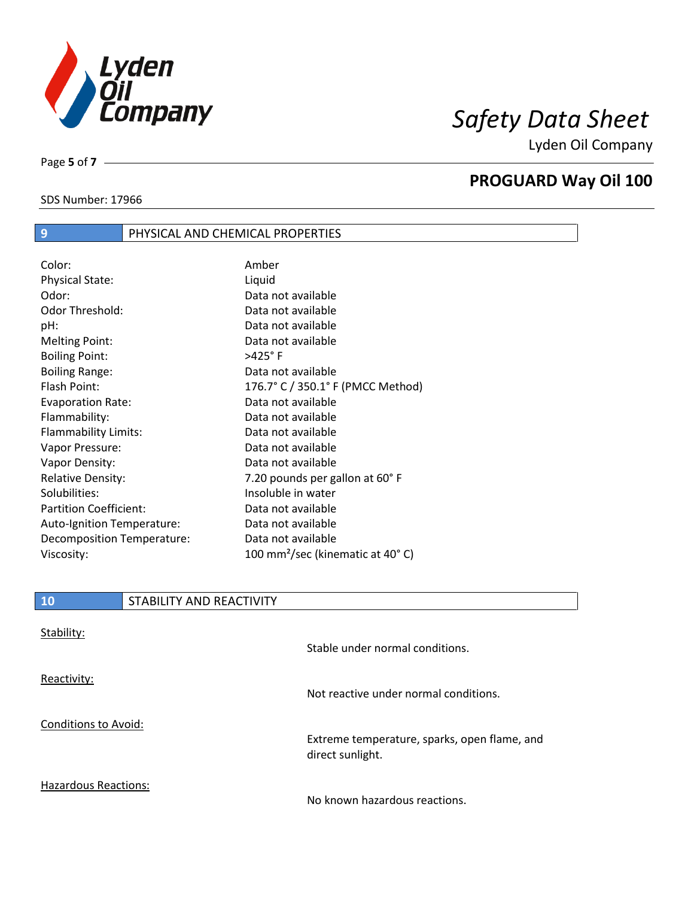

**PROGUARD Way Oil 100**

Lyden Oil Company

SDS Number: 17966

Page **5** of **7**

 $\overline{\phantom{a}}$ 

# **9** PHYSICAL AND CHEMICAL PROPERTIES

| Color:                        | Amber                                        |
|-------------------------------|----------------------------------------------|
| <b>Physical State:</b>        | Liquid                                       |
| Odor:                         | Data not available                           |
| Odor Threshold:               | Data not available                           |
| pH:                           | Data not available                           |
| <b>Melting Point:</b>         | Data not available                           |
| <b>Boiling Point:</b>         | $>425^\circ$ F                               |
| <b>Boiling Range:</b>         | Data not available                           |
| Flash Point:                  | 176.7° C / 350.1° F (PMCC Method)            |
| <b>Evaporation Rate:</b>      | Data not available                           |
| Flammability:                 | Data not available                           |
| Flammability Limits:          | Data not available                           |
| Vapor Pressure:               | Data not available                           |
| Vapor Density:                | Data not available                           |
| <b>Relative Density:</b>      | 7.20 pounds per gallon at 60°F               |
| Solubilities:                 | Insoluble in water                           |
| <b>Partition Coefficient:</b> | Data not available                           |
| Auto-Ignition Temperature:    | Data not available                           |
| Decomposition Temperature:    | Data not available                           |
| Viscosity:                    | 100 mm <sup>2</sup> /sec (kinematic at 40°C) |

| <b>10</b>                   | STABILITY AND REACTIVITY |                                                                  |
|-----------------------------|--------------------------|------------------------------------------------------------------|
| Stability:                  |                          | Stable under normal conditions.                                  |
| Reactivity:                 |                          | Not reactive under normal conditions.                            |
| <b>Conditions to Avoid:</b> |                          | Extreme temperature, sparks, open flame, and<br>direct sunlight. |
| <b>Hazardous Reactions:</b> |                          |                                                                  |

No known hazardous reactions.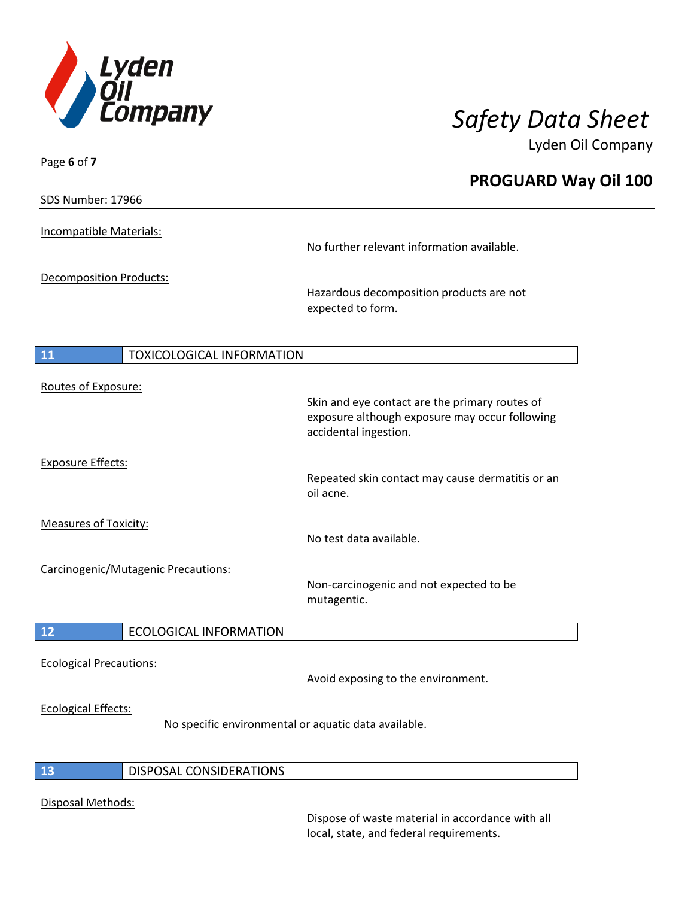

| Page 6 of $7 -$                |                                                      |                                                                                                                           |
|--------------------------------|------------------------------------------------------|---------------------------------------------------------------------------------------------------------------------------|
|                                |                                                      | <b>PROGUARD Way Oil 100</b>                                                                                               |
| SDS Number: 17966              |                                                      |                                                                                                                           |
| Incompatible Materials:        |                                                      | No further relevant information available.                                                                                |
| <b>Decomposition Products:</b> |                                                      | Hazardous decomposition products are not<br>expected to form.                                                             |
| 11                             | <b>TOXICOLOGICAL INFORMATION</b>                     |                                                                                                                           |
| Routes of Exposure:            |                                                      | Skin and eye contact are the primary routes of<br>exposure although exposure may occur following<br>accidental ingestion. |
| <b>Exposure Effects:</b>       |                                                      | Repeated skin contact may cause dermatitis or an<br>oil acne.                                                             |
| <b>Measures of Toxicity:</b>   |                                                      | No test data available.                                                                                                   |
|                                | Carcinogenic/Mutagenic Precautions:                  | Non-carcinogenic and not expected to be<br>mutagentic.                                                                    |
| 12                             | <b>ECOLOGICAL INFORMATION</b>                        |                                                                                                                           |
| <b>Ecological Precautions:</b> |                                                      | Avoid exposing to the environment.                                                                                        |
| <b>Ecological Effects:</b>     | No specific environmental or aquatic data available. |                                                                                                                           |
| 13                             | DISPOSAL CONSIDERATIONS                              |                                                                                                                           |
|                                |                                                      |                                                                                                                           |

Disposal Methods:

Dispose of waste material in accordance with all local, state, and federal requirements.